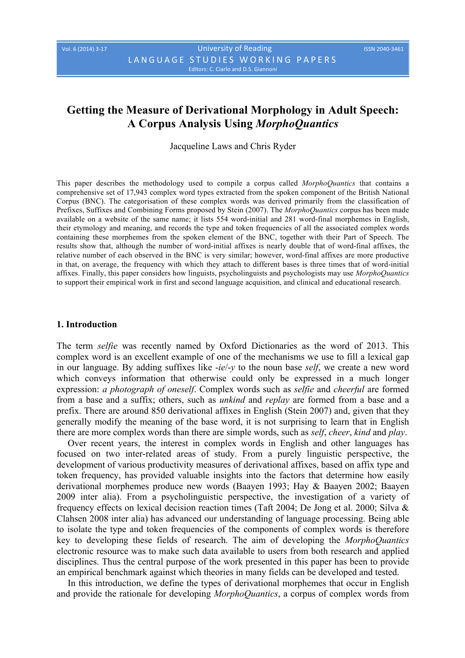# **Getting the Measure of Derivational Morphology in Adult Speech: A Corpus Analysis Using** *MorphoQuantics*

Jacqueline Laws and Chris Ryder

This paper describes the methodology used to compile a corpus called *MorphoQuantics* that contains a comprehensive set of 17,943 complex word types extracted from the spoken component of the British National Corpus (BNC). The categorisation of these complex words was derived primarily from the classification of Prefixes, Suffixes and Combining Forms proposed by Stein (2007). The *MorphoQuantics* corpus has been made available on a website of the same name; it lists 554 word-initial and 281 word-final morphemes in English, their etymology and meaning, and records the type and token frequencies of all the associated complex words containing these morphemes from the spoken element of the BNC, together with their Part of Speech. The results show that, although the number of word-initial affixes is nearly double that of word-final affixes, the relative number of each observed in the BNC is very similar; however, word-final affixes are more productive in that, on average, the frequency with which they attach to different bases is three times that of word-initial affixes. Finally, this paper considers how linguists, psycholinguists and psychologists may use *MorphoQuantics* to support their empirical work in first and second language acquisition, and clinical and educational research.

#### **1. Introduction**

The term *selfie* was recently named by Oxford Dictionaries as the word of 2013. This complex word is an excellent example of one of the mechanisms we use to fill a lexical gap in our language. By adding suffixes like -*ie*/-*y* to the noun base *self*, we create a new word which conveys information that otherwise could only be expressed in a much longer expression: *a photograph of oneself*. Complex words such as *selfie* and *cheerful* are formed from a base and a suffix; others, such as *unkind* and *replay* are formed from a base and a prefix. There are around 850 derivational affixes in English (Stein 2007) and, given that they generally modify the meaning of the base word, it is not surprising to learn that in English there are more complex words than there are simple words, such as *self*, *cheer*, *kind* and *play*.

Over recent years, the interest in complex words in English and other languages has focused on two inter-related areas of study. From a purely linguistic perspective, the development of various productivity measures of derivational affixes, based on affix type and token frequency, has provided valuable insights into the factors that determine how easily derivational morphemes produce new words (Baayen 1993; Hay & Baayen 2002; Baayen 2009 inter alia). From a psycholinguistic perspective, the investigation of a variety of frequency effects on lexical decision reaction times (Taft 2004; De Jong et al. 2000; Silva & Clahsen 2008 inter alia) has advanced our understanding of language processing. Being able to isolate the type and token frequencies of the components of complex words is therefore key to developing these fields of research. The aim of developing the *MorphoQuantics*  electronic resource was to make such data available to users from both research and applied disciplines. Thus the central purpose of the work presented in this paper has been to provide an empirical benchmark against which theories in many fields can be developed and tested.

In this introduction, we define the types of derivational morphemes that occur in English and provide the rationale for developing *MorphoQuantics*, a corpus of complex words from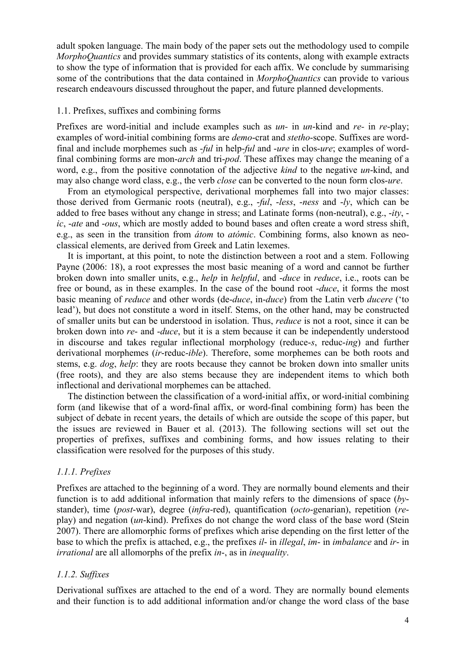adult spoken language. The main body of the paper sets out the methodology used to compile *MorphoQuantics* and provides summary statistics of its contents, along with example extracts to show the type of information that is provided for each affix. We conclude by summarising some of the contributions that the data contained in *MorphoQuantics* can provide to various research endeavours discussed throughout the paper, and future planned developments.

# 1.1. Prefixes, suffixes and combining forms

Prefixes are word-initial and include examples such as *un-* in *un*-kind and *re-* in *re*-play; examples of word-initial combining forms are *demo*-crat and *stetho*-scope. Suffixes are wordfinal and include morphemes such as -*ful* in help-*ful* and -*ure* in clos-*ure*; examples of wordfinal combining forms are mon-*arch* and tri-*pod*. These affixes may change the meaning of a word, e.g., from the positive connotation of the adjective *kind* to the negative *un*-kind, and may also change word class, e.g., the verb *close* can be converted to the noun form clos-*ure*.

From an etymological perspective, derivational morphemes fall into two major classes: those derived from Germanic roots (neutral), e.g., -*ful*, -*less*, -*ness* and -*ly*, which can be added to free bases without any change in stress; and Latinate forms (non-neutral), e.g., -*ity*, *ic*, -*ate* and -*ous*, which are mostly added to bound bases and often create a word stress shift, e.g., as seen in the transition from *átom* to *atómic*. Combining forms, also known as neoclassical elements, are derived from Greek and Latin lexemes.

It is important, at this point, to note the distinction between a root and a stem. Following Payne (2006: 18), a root expresses the most basic meaning of a word and cannot be further broken down into smaller units, e.g., *help* in *helpful*, and -*duce* in *reduce*, i.e., roots can be free or bound, as in these examples. In the case of the bound root -*duce*, it forms the most basic meaning of *reduce* and other words (de-*duce*, in-*duce*) from the Latin verb *ducere* ('to lead'), but does not constitute a word in itself. Stems, on the other hand, may be constructed of smaller units but can be understood in isolation. Thus, *reduce* is not a root, since it can be broken down into *re*- and -*duce*, but it is a stem because it can be independently understood in discourse and takes regular inflectional morphology (reduce-*s*, reduc-*ing*) and further derivational morphemes (*ir*-reduc-*ible*). Therefore, some morphemes can be both roots and stems, e.g. *dog*, *help*: they are roots because they cannot be broken down into smaller units (free roots), and they are also stems because they are independent items to which both inflectional and derivational morphemes can be attached.

The distinction between the classification of a word-initial affix, or word-initial combining form (and likewise that of a word-final affix, or word-final combining form) has been the subject of debate in recent years, the details of which are outside the scope of this paper, but the issues are reviewed in Bauer et al. (2013). The following sections will set out the properties of prefixes, suffixes and combining forms, and how issues relating to their classification were resolved for the purposes of this study.

# *1.1.1. Prefixes*

Prefixes are attached to the beginning of a word. They are normally bound elements and their function is to add additional information that mainly refers to the dimensions of space (*by*stander), time (*post*-war), degree (*infra*-red), quantification (*octo*-genarian), repetition (*re*play) and negation (*un*-kind). Prefixes do not change the word class of the base word (Stein 2007). There are allomorphic forms of prefixes which arise depending on the first letter of the base to which the prefix is attached, e.g., the prefixes *il*- in *illegal*, *im*- in *imbalance* and *ir*- in *irrational* are all allomorphs of the prefix *in*-, as in *inequality*.

# *1.1.2. Suffixes*

Derivational suffixes are attached to the end of a word. They are normally bound elements and their function is to add additional information and/or change the word class of the base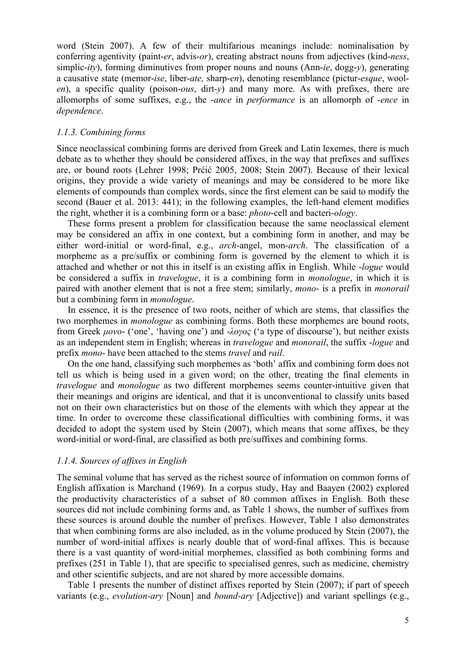word (Stein 2007). A few of their multifarious meanings include: nominalisation by conferring agentivity (paint-*er*, advis-*or*), creating abstract nouns from adjectives (kind-*ness*, simplic-*ity*), forming diminutives from proper nouns and nouns (Ann-*ie*, dogg-*y*), generating a causative state (memor-*ise*, liber-*ate,* sharp-*en*), denoting resemblance (pictur-*esque*, wool*en*), a specific quality (poison-*ous*, dirt-*y*) and many more. As with prefixes, there are allomorphs of some suffixes, e.g., the -*ance* in *performance* is an allomorph of -*ence* in *dependence*.

# *1.1.3. Combining forms*

Since neoclassical combining forms are derived from Greek and Latin lexemes, there is much debate as to whether they should be considered affixes, in the way that prefixes and suffixes are, or bound roots (Lehrer 1998; Prćić 2005, 2008; Stein 2007). Because of their lexical origins, they provide a wide variety of meanings and may be considered to be more like elements of compounds than complex words, since the first element can be said to modify the second (Bauer et al. 2013: 441); in the following examples, the left-hand element modifies the right, whether it is a combining form or a base: *photo*-cell and bacteri-*ology*.

These forms present a problem for classification because the same neoclassical element may be considered an affix in one context, but a combining form in another, and may be either word-initial or word-final, e.g., *arch*-angel, mon-*arch*. The classification of a morpheme as a pre/suffix or combining form is governed by the element to which it is attached and whether or not this in itself is an existing affix in English. While -*logue* would be considered a suffix in *travelogue*, it is a combining form in *monologue*, in which it is paired with another element that is not a free stem; similarly, *mono*- is a prefix in *monorail* but a combining form in *monologue*.

In essence, it is the presence of two roots, neither of which are stems, that classifies the two morphemes in *monologue* as combining forms. Both these morphemes are bound roots, from Greek *µονο*- ('one', 'having one') and -*λογος* ('a type of discourse'), but neither exists as an independent stem in English; whereas in *travelogue* and *monorail*, the suffix -*logue* and prefix *mono*- have been attached to the stems *travel* and *rail*.

On the one hand, classifying such morphemes as 'both' affix and combining form does not tell us which is being used in a given word; on the other, treating the final elements in *travelogue* and *monologue* as two different morphemes seems counter-intuitive given that their meanings and origins are identical, and that it is unconventional to classify units based not on their own characteristics but on those of the elements with which they appear at the time. In order to overcome these classificational difficulties with combining forms, it was decided to adopt the system used by Stein (2007), which means that some affixes, be they word-initial or word-final, are classified as both pre/suffixes and combining forms.

#### *1.1.4. Sources of affixes in English*

The seminal volume that has served as the richest source of information on common forms of English affixation is Marchand (1969). In a corpus study, Hay and Baayen (2002) explored the productivity characteristics of a subset of 80 common affixes in English. Both these sources did not include combining forms and, as Table 1 shows, the number of suffixes from these sources is around double the number of prefixes. However, Table 1 also demonstrates that when combining forms are also included, as in the volume produced by Stein (2007), the number of word-initial affixes is nearly double that of word-final affixes. This is because there is a vast quantity of word-initial morphemes, classified as both combining forms and prefixes (251 in Table 1), that are specific to specialised genres, such as medicine, chemistry and other scientific subjects, and are not shared by more accessible domains.

Table 1 presents the number of distinct affixes reported by Stein (2007); if part of speech variants (e.g., *evolution-ary* [Noun] and *bound-ary* [Adjective]) and variant spellings (e.g.,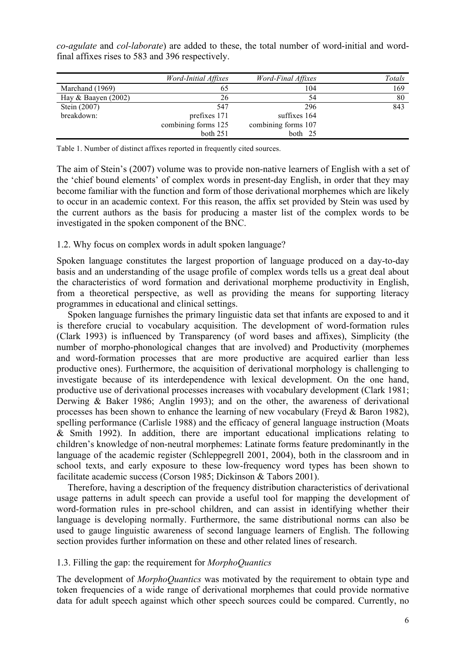|                       | Word-Initial Affixes | Word-Final Affixes  | Totals |
|-----------------------|----------------------|---------------------|--------|
| Marchand (1969)       | 65                   | 104                 | 169    |
| Hay & Baayen $(2002)$ | 26                   | 54                  | 80     |
| Stein (2007)          | 547                  | 296                 | 843    |
| breakdown:            | prefixes 171         | suffixes 164        |        |
|                       | combining forms 125  | combining forms 107 |        |
|                       | both $251$           | both 25             |        |

*co-agulate* and *col-laborate*) are added to these, the total number of word-initial and wordfinal affixes rises to 583 and 396 respectively.

Table 1. Number of distinct affixes reported in frequently cited sources.

The aim of Stein's (2007) volume was to provide non-native learners of English with a set of the 'chief bound elements' of complex words in present-day English, in order that they may become familiar with the function and form of those derivational morphemes which are likely to occur in an academic context. For this reason, the affix set provided by Stein was used by the current authors as the basis for producing a master list of the complex words to be investigated in the spoken component of the BNC.

## 1.2. Why focus on complex words in adult spoken language?

Spoken language constitutes the largest proportion of language produced on a day-to-day basis and an understanding of the usage profile of complex words tells us a great deal about the characteristics of word formation and derivational morpheme productivity in English, from a theoretical perspective, as well as providing the means for supporting literacy programmes in educational and clinical settings.

Spoken language furnishes the primary linguistic data set that infants are exposed to and it is therefore crucial to vocabulary acquisition. The development of word-formation rules (Clark 1993) is influenced by Transparency (of word bases and affixes), Simplicity (the number of morpho-phonological changes that are involved) and Productivity (morphemes and word-formation processes that are more productive are acquired earlier than less productive ones). Furthermore, the acquisition of derivational morphology is challenging to investigate because of its interdependence with lexical development. On the one hand, productive use of derivational processes increases with vocabulary development (Clark 1981; Derwing & Baker 1986; Anglin 1993); and on the other, the awareness of derivational processes has been shown to enhance the learning of new vocabulary (Freyd & Baron 1982), spelling performance (Carlisle 1988) and the efficacy of general language instruction (Moats & Smith 1992). In addition, there are important educational implications relating to children's knowledge of non-neutral morphemes: Latinate forms feature predominantly in the language of the academic register (Schleppegrell 2001, 2004), both in the classroom and in school texts, and early exposure to these low-frequency word types has been shown to facilitate academic success (Corson 1985; Dickinson & Tabors 2001).

Therefore, having a description of the frequency distribution characteristics of derivational usage patterns in adult speech can provide a useful tool for mapping the development of word-formation rules in pre-school children, and can assist in identifying whether their language is developing normally. Furthermore, the same distributional norms can also be used to gauge linguistic awareness of second language learners of English. The following section provides further information on these and other related lines of research.

# 1.3. Filling the gap: the requirement for *MorphoQuantics*

The development of *MorphoQuantics* was motivated by the requirement to obtain type and token frequencies of a wide range of derivational morphemes that could provide normative data for adult speech against which other speech sources could be compared. Currently, no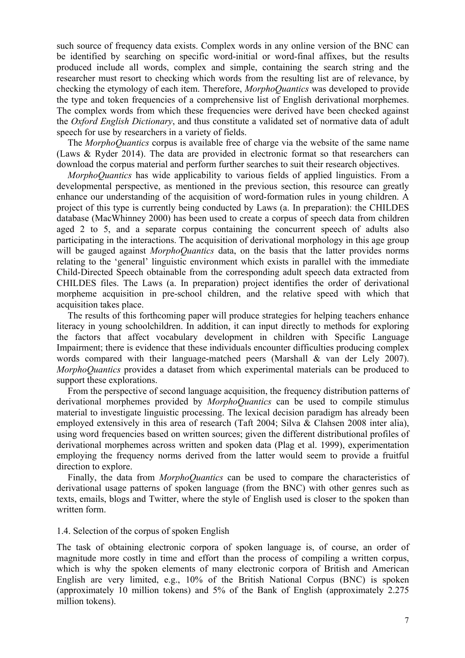such source of frequency data exists. Complex words in any online version of the BNC can be identified by searching on specific word-initial or word-final affixes, but the results produced include all words, complex and simple, containing the search string and the researcher must resort to checking which words from the resulting list are of relevance, by checking the etymology of each item. Therefore, *MorphoQuantics* was developed to provide the type and token frequencies of a comprehensive list of English derivational morphemes. The complex words from which these frequencies were derived have been checked against the *Oxford English Dictionary*, and thus constitute a validated set of normative data of adult speech for use by researchers in a variety of fields.

The *MorphoQuantics* corpus is available free of charge via the website of the same name (Laws & Ryder 2014). The data are provided in electronic format so that researchers can download the corpus material and perform further searches to suit their research objectives.

*MorphoQuantics* has wide applicability to various fields of applied linguistics. From a developmental perspective, as mentioned in the previous section, this resource can greatly enhance our understanding of the acquisition of word-formation rules in young children. A project of this type is currently being conducted by Laws (a. In preparation): the CHILDES database (MacWhinney 2000) has been used to create a corpus of speech data from children aged 2 to 5, and a separate corpus containing the concurrent speech of adults also participating in the interactions. The acquisition of derivational morphology in this age group will be gauged against *MorphoQuantics* data, on the basis that the latter provides norms relating to the 'general' linguistic environment which exists in parallel with the immediate Child-Directed Speech obtainable from the corresponding adult speech data extracted from CHILDES files. The Laws (a. In preparation) project identifies the order of derivational morpheme acquisition in pre-school children, and the relative speed with which that acquisition takes place.

The results of this forthcoming paper will produce strategies for helping teachers enhance literacy in young schoolchildren. In addition, it can input directly to methods for exploring the factors that affect vocabulary development in children with Specific Language Impairment; there is evidence that these individuals encounter difficulties producing complex words compared with their language-matched peers (Marshall & van der Lely 2007). *MorphoQuantics* provides a dataset from which experimental materials can be produced to support these explorations.

From the perspective of second language acquisition, the frequency distribution patterns of derivational morphemes provided by *MorphoQuantics* can be used to compile stimulus material to investigate linguistic processing. The lexical decision paradigm has already been employed extensively in this area of research (Taft 2004; Silva & Clahsen 2008 inter alia), using word frequencies based on written sources; given the different distributional profiles of derivational morphemes across written and spoken data (Plag et al. 1999), experimentation employing the frequency norms derived from the latter would seem to provide a fruitful direction to explore.

Finally, the data from *MorphoQuantics* can be used to compare the characteristics of derivational usage patterns of spoken language (from the BNC) with other genres such as texts, emails, blogs and Twitter, where the style of English used is closer to the spoken than written form.

## 1.4. Selection of the corpus of spoken English

The task of obtaining electronic corpora of spoken language is, of course, an order of magnitude more costly in time and effort than the process of compiling a written corpus, which is why the spoken elements of many electronic corpora of British and American English are very limited, e.g., 10% of the British National Corpus (BNC) is spoken (approximately 10 million tokens) and 5% of the Bank of English (approximately 2.275 million tokens).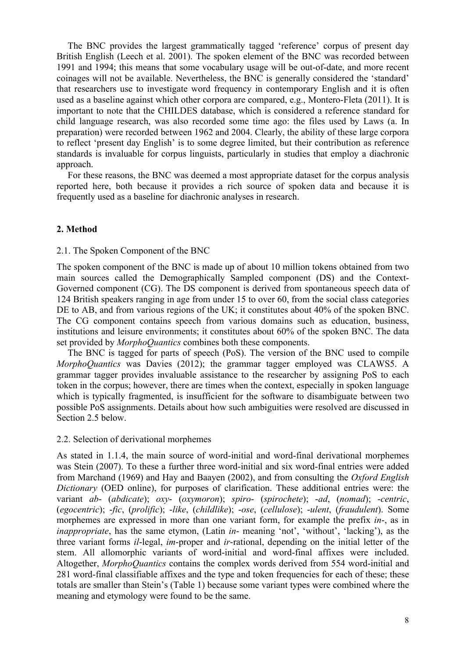The BNC provides the largest grammatically tagged 'reference' corpus of present day British English (Leech et al. 2001). The spoken element of the BNC was recorded between 1991 and 1994; this means that some vocabulary usage will be out-of-date, and more recent coinages will not be available. Nevertheless, the BNC is generally considered the 'standard' that researchers use to investigate word frequency in contemporary English and it is often used as a baseline against which other corpora are compared, e.g., Montero-Fleta (2011). It is important to note that the CHILDES database, which is considered a reference standard for child language research, was also recorded some time ago: the files used by Laws (a. In preparation) were recorded between 1962 and 2004. Clearly, the ability of these large corpora to reflect 'present day English' is to some degree limited, but their contribution as reference standards is invaluable for corpus linguists, particularly in studies that employ a diachronic approach.

For these reasons, the BNC was deemed a most appropriate dataset for the corpus analysis reported here, both because it provides a rich source of spoken data and because it is frequently used as a baseline for diachronic analyses in research.

# **2. Method**

#### 2.1. The Spoken Component of the BNC

The spoken component of the BNC is made up of about 10 million tokens obtained from two main sources called the Demographically Sampled component (DS) and the Context-Governed component (CG). The DS component is derived from spontaneous speech data of 124 British speakers ranging in age from under 15 to over 60, from the social class categories DE to AB, and from various regions of the UK; it constitutes about 40% of the spoken BNC. The CG component contains speech from various domains such as education, business, institutions and leisure environments; it constitutes about 60% of the spoken BNC. The data set provided by *MorphoQuantics* combines both these components.

The BNC is tagged for parts of speech (PoS). The version of the BNC used to compile *MorphoQuantics* was Davies (2012); the grammar tagger employed was CLAWS5. A grammar tagger provides invaluable assistance to the researcher by assigning PoS to each token in the corpus; however, there are times when the context, especially in spoken language which is typically fragmented, is insufficient for the software to disambiguate between two possible PoS assignments. Details about how such ambiguities were resolved are discussed in Section 2.5 below.

#### 2.2. Selection of derivational morphemes

As stated in 1.1.4, the main source of word-initial and word-final derivational morphemes was Stein (2007). To these a further three word-initial and six word-final entries were added from Marchand (1969) and Hay and Baayen (2002), and from consulting the *Oxford English Dictionary* (OED online), for purposes of clarification. These additional entries were: the variant *ab*- (*abdicate*); *oxy*- (*oxymoron*); *spiro*- (*spirochete*); -*ad*, (*nomad*); -*centric*, (*egocentric*); -*fic*, (*prolific*); -*like*, (*childlike*); -*ose*, (*cellulose*); -*ulent*, (*fraudulent*). Some morphemes are expressed in more than one variant form, for example the prefix *in*-, as in *inappropriate*, has the same etymon, (Latin *in*- meaning 'not', 'without', 'lacking'), as the three variant forms *il*-legal, *im*-proper and *ir*-rational, depending on the initial letter of the stem. All allomorphic variants of word-initial and word-final affixes were included. Altogether, *MorphoQuantics* contains the complex words derived from 554 word-initial and 281 word-final classifiable affixes and the type and token frequencies for each of these; these totals are smaller than Stein's (Table 1) because some variant types were combined where the meaning and etymology were found to be the same.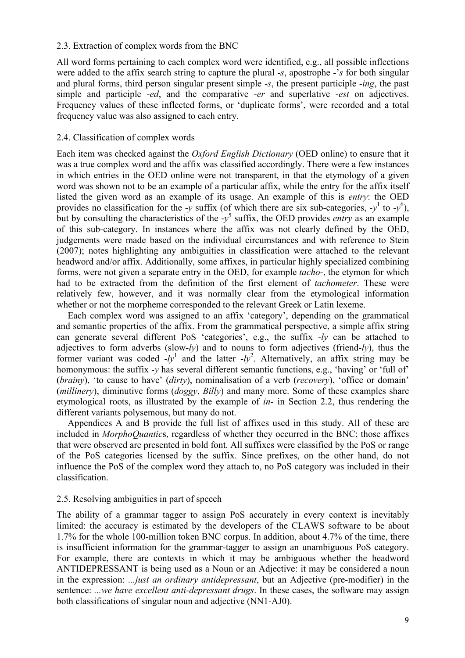# 2.3. Extraction of complex words from the BNC

All word forms pertaining to each complex word were identified, e.g., all possible inflections were added to the affix search string to capture the plural -*s*, apostrophe -'*s* for both singular and plural forms, third person singular present simple -*s*, the present participle -*ing*, the past simple and participle -*ed*, and the comparative -*er* and superlative -*est* on adjectives. Frequency values of these inflected forms, or 'duplicate forms', were recorded and a total frequency value was also assigned to each entry.

# 2.4. Classification of complex words

Each item was checked against the *Oxford English Dictionary* (OED online) to ensure that it was a true complex word and the affix was classified accordingly. There were a few instances in which entries in the OED online were not transparent, in that the etymology of a given word was shown not to be an example of a particular affix, while the entry for the affix itself listed the given word as an example of its usage. An example of this is *entry*: the OED provides no classification for the -*y* suffix (of which there are six sub-categories, -*y*<sup>1</sup> to -*y*<sup>6</sup>), but by consulting the characteristics of the -*y* <sup>5</sup> suffix, the OED provides *entry* as an example of this sub-category. In instances where the affix was not clearly defined by the OED, judgements were made based on the individual circumstances and with reference to Stein (2007); notes highlighting any ambiguities in classification were attached to the relevant headword and/or affix. Additionally, some affixes, in particular highly specialized combining forms, were not given a separate entry in the OED, for example *tacho*-, the etymon for which had to be extracted from the definition of the first element of *tachometer*. These were relatively few, however, and it was normally clear from the etymological information whether or not the morpheme corresponded to the relevant Greek or Latin lexeme.

Each complex word was assigned to an affix 'category', depending on the grammatical and semantic properties of the affix. From the grammatical perspective, a simple affix string can generate several different PoS 'categories', e.g., the suffix -*ly* can be attached to adjectives to form adverbs (slow-*ly*) and to nouns to form adjectives (friend-*ly*), thus the former variant was coded  $-ly^1$  and the latter  $-ly^2$ . Alternatively, an affix string may be homonymous: the suffix -*y* has several different semantic functions, e.g., 'having' or 'full of' (*brainy*), 'to cause to have' (*dirty*), nominalisation of a verb (*recovery*), 'office or domain' (*millinery*), diminutive forms (*doggy*, *Billy*) and many more. Some of these examples share etymological roots, as illustrated by the example of *in*- in Section 2.2, thus rendering the different variants polysemous, but many do not.

Appendices A and B provide the full list of affixes used in this study. All of these are included in *MorphoQuantic*s, regardless of whether they occurred in the BNC; those affixes that were observed are presented in bold font. All suffixes were classified by the PoS or range of the PoS categories licensed by the suffix. Since prefixes, on the other hand, do not influence the PoS of the complex word they attach to, no PoS category was included in their classification.

# 2.5. Resolving ambiguities in part of speech

The ability of a grammar tagger to assign PoS accurately in every context is inevitably limited: the accuracy is estimated by the developers of the CLAWS software to be about 1.7% for the whole 100-million token BNC corpus. In addition, about 4.7% of the time, there is insufficient information for the grammar-tagger to assign an unambiguous PoS category. For example, there are contexts in which it may be ambiguous whether the headword ANTIDEPRESSANT is being used as a Noun or an Adjective: it may be considered a noun in the expression: *...just an ordinary antidepressant*, but an Adjective (pre-modifier) in the sentence: *...we have excellent anti-depressant drugs*. In these cases, the software may assign both classifications of singular noun and adjective (NN1-AJ0).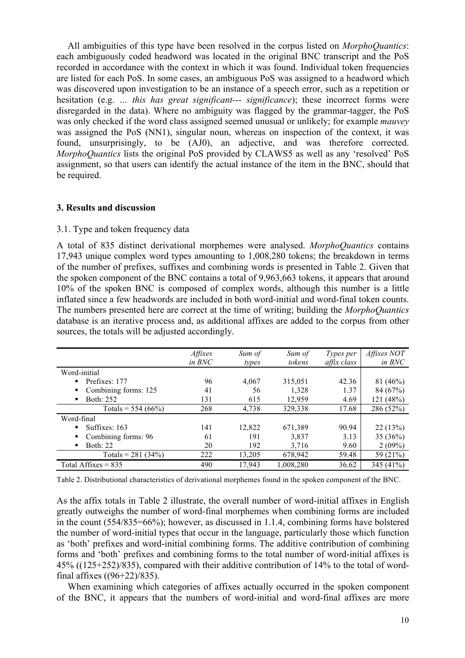All ambiguities of this type have been resolved in the corpus listed on *MorphoQuantics*: each ambiguously coded headword was located in the original BNC transcript and the PoS recorded in accordance with the context in which it was found. Individual token frequencies are listed for each PoS. In some cases, an ambiguous PoS was assigned to a headword which was discovered upon investigation to be an instance of a speech error, such as a repetition or hesitation (e.g. *… this has great significant--- significance*); these incorrect forms were disregarded in the data). Where no ambiguity was flagged by the grammar-tagger, the PoS was only checked if the word class assigned seemed unusual or unlikely; for example *mauvey* was assigned the PoS (NN1), singular noun, whereas on inspection of the context, it was found, unsurprisingly, to be (AJ0), an adjective, and was therefore corrected. *MorphoQuantics* lists the original PoS provided by CLAWS5 as well as any 'resolved' PoS assignment, so that users can identify the actual instance of the item in the BNC, should that be required.

# **3. Results and discussion**

# 3.1. Type and token frequency data

A total of 835 distinct derivational morphemes were analysed. *MorphoQuantics* contains 17,943 unique complex word types amounting to 1,008,280 tokens; the breakdown in terms of the number of prefixes, suffixes and combining words is presented in Table 2. Given that the spoken component of the BNC contains a total of 9,963,663 tokens, it appears that around 10% of the spoken BNC is composed of complex words, although this number is a little inflated since a few headwords are included in both word-initial and word-final token counts. The numbers presented here are correct at the time of writing; building the *MorphoQuantics* database is an iterative process and, as additional affixes are added to the corpus from other sources, the totals will be adjusted accordingly.

|                           | Affixes<br>in BNC | Sum of<br>types | Sum of<br>tokens | Types per<br>affix class | Affixes NOT<br>in BNC |
|---------------------------|-------------------|-----------------|------------------|--------------------------|-----------------------|
| Word-initial              |                   |                 |                  |                          |                       |
| Prefixes: 177<br>٠        | 96                | 4,067           | 315,051          | 42.36                    | 81(46%)               |
| Combining forms: 125<br>٠ | 41                | 56              | 1,328            | 1.37                     | 84 (67%)              |
| Both: 252<br>٠            | 131               | 615             | 12,959           | 4.69                     | 121 (48%)             |
| Totals = $554(66%)$       | 268               | 4,738           | 329,338          | 17.68                    | 286 (52%)             |
| Word-final                |                   |                 |                  |                          |                       |
| Suffixes: 163<br>٠        | 141               | 12,822          | 671,389          | 90.94                    | 22(13%)               |
| Combining forms: 96<br>٠  | 61                | 191             | 3,837            | 3.13                     | 35(36%)               |
| <b>Both: 22</b><br>٠      | 20                | 192             | 3,716            | 9.60                     | $2(09\%)$             |
| Totals = $281(34%)$       | 222               | 13,205          | 678,942          | 59.48                    | 59 (21%)              |
| Total Affixes $= 835$     | 490               | 17,943          | 1,008,280        | 36.62                    | 345 (41%)             |

Table 2. Distributional characteristics of derivational morphemes found in the spoken component of the BNC.

As the affix totals in Table 2 illustrate, the overall number of word-initial affixes in English greatly outweighs the number of word-final morphemes when combining forms are included in the count (554/835=66%); however, as discussed in 1.1.4, combining forms have bolstered the number of word-initial types that occur in the language, particularly those which function as 'both' prefixes and word-initial combining forms. The additive contribution of combining forms and 'both' prefixes and combining forms to the total number of word-initial affixes is 45% ((125+252)/835), compared with their additive contribution of 14% to the total of wordfinal affixes ((96+22)/835).

When examining which categories of affixes actually occurred in the spoken component of the BNC, it appears that the numbers of word-initial and word-final affixes are more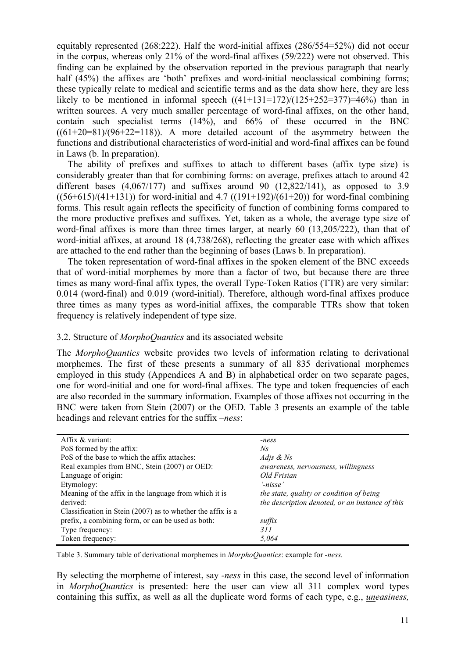equitably represented (268:222). Half the word-initial affixes (286/554=52%) did not occur in the corpus, whereas only  $21\%$  of the word-final affixes (59/222) were not observed. This finding can be explained by the observation reported in the previous paragraph that nearly half (45%) the affixes are 'both' prefixes and word-initial neoclassical combining forms; these typically relate to medical and scientific terms and as the data show here, they are less likely to be mentioned in informal speech  $((41+131=172)/(125+252=377)=46\%)$  than in written sources. A very much smaller percentage of word-final affixes, on the other hand, contain such specialist terms (14%), and 66% of these occurred in the BNC  $((61+20=81)/(96+22=118))$ . A more detailed account of the asymmetry between the functions and distributional characteristics of word-initial and word-final affixes can be found in Laws (b. In preparation).

The ability of prefixes and suffixes to attach to different bases (affix type size) is considerably greater than that for combining forms: on average, prefixes attach to around 42 different bases  $(4.067/177)$  and suffixes around 90  $(12.822/141)$ , as opposed to 3.9  $((56+615)/(41+131))$  for word-initial and 4.7  $((191+192)/(61+20))$  for word-final combining forms. This result again reflects the specificity of function of combining forms compared to the more productive prefixes and suffixes. Yet, taken as a whole, the average type size of word-final affixes is more than three times larger, at nearly 60 (13,205/222), than that of word-initial affixes, at around 18 (4,738/268), reflecting the greater ease with which affixes are attached to the end rather than the beginning of bases (Laws b. In preparation).

The token representation of word-final affixes in the spoken element of the BNC exceeds that of word-initial morphemes by more than a factor of two, but because there are three times as many word-final affix types, the overall Type-Token Ratios (TTR) are very similar: 0.014 (word-final) and 0.019 (word-initial). Therefore, although word-final affixes produce three times as many types as word-initial affixes, the comparable TTRs show that token frequency is relatively independent of type size.

# 3.2. Structure of *MorphoQuantics* and its associated website

The *MorphoQuantics* website provides two levels of information relating to derivational morphemes. The first of these presents a summary of all 835 derivational morphemes employed in this study (Appendices A and B) in alphabetical order on two separate pages, one for word-initial and one for word-final affixes. The type and token frequencies of each are also recorded in the summary information. Examples of those affixes not occurring in the BNC were taken from Stein (2007) or the OED. Table 3 presents an example of the table headings and relevant entries for the suffix *–ness*:

| Affix & variant:                                            | -ness                                           |
|-------------------------------------------------------------|-------------------------------------------------|
| PoS formed by the affix:                                    | Ns.                                             |
| PoS of the base to which the affix attaches:                | Adjs $\&$ Ns                                    |
| Real examples from BNC, Stein (2007) or OED:                | <i>awareness, nervousness, willingness</i>      |
| Language of origin:                                         | Old Frisian                                     |
| Etymology:                                                  | $'$ -nisse'                                     |
| Meaning of the affix in the language from which it is       | the state, quality or condition of being        |
| derived:                                                    | the description denoted, or an instance of this |
| Classification in Stein (2007) as to whether the affix is a |                                                 |
| prefix, a combining form, or can be used as both:           | suffix                                          |
| Type frequency:                                             | 311                                             |
| Token frequency:                                            | 5.064                                           |

Table 3. Summary table of derivational morphemes in *MorphoQuantics*: example for *-ness.*

By selecting the morpheme of interest, say *-ness* in this case, the second level of information in *MorphoQuantics* is presented: here the user can view all 311 complex word types containing this suffix, as well as all the duplicate word forms of each type, e.g., *uneasiness,*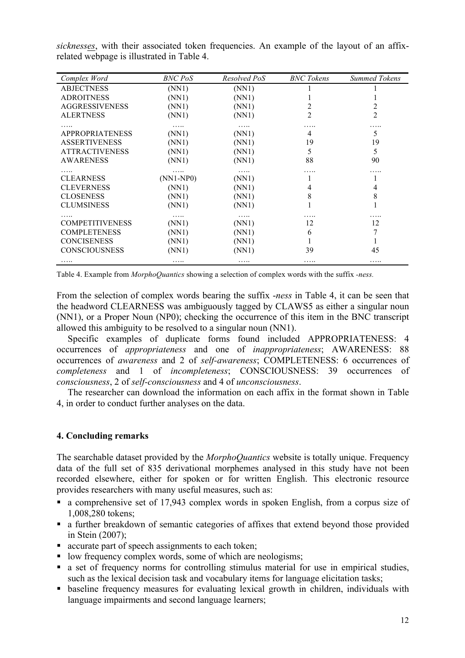| Complex Word           | BNC PoS     | Resolved PoS | <b>BNC</b> Tokens | <b>Summed Tokens</b> |
|------------------------|-------------|--------------|-------------------|----------------------|
| <b>ABJECTNESS</b>      | (NN1)       | (NN1)        |                   |                      |
| <b>ADROITNESS</b>      | (NN1)       | (NN1)        |                   |                      |
| <b>AGGRESSIVENESS</b>  | (NN1)       | (NN1)        |                   |                      |
| <b>ALERTNESS</b>       | (NN1)       | (NN1)        | 2                 | $\overline{2}$       |
|                        | .           | .            | .                 |                      |
| <b>APPROPRIATENESS</b> | (NN1)       | (NN1)        | 4                 | 5                    |
| <b>ASSERTIVENESS</b>   | (NN1)       | (NN1)        | 19                | 19                   |
| <b>ATTRACTIVENESS</b>  | (NN1)       | (NN1)        | 5                 | 5                    |
| <b>AWARENESS</b>       | (NN1)       | (NN1)        | 88                | 90                   |
|                        | .           | .            | .                 | .                    |
| <b>CLEARNESS</b>       | $(NN1-NP0)$ | (NN1)        |                   |                      |
| <b>CLEVERNESS</b>      | (NN1)       | (NN1)        | 4                 | 4                    |
| <b>CLOSENESS</b>       | (NN1)       | (NN1)        | 8                 | 8                    |
| <b>CLUMSINESS</b>      | (NN1)       | (NN1)        |                   |                      |
|                        | .           | .            |                   |                      |
| <b>COMPETITIVENESS</b> | (NN1)       | (NN1)        | 12                | 12                   |
| <b>COMPLETENESS</b>    | (NN1)       | (NN1)        | 6                 |                      |
| <b>CONCISENESS</b>     | (NN1)       | (NN1)        |                   |                      |
| CONSCIOUSNESS          | (NN1)       | (NN1)        | 39                | 45                   |
| .                      | .           | .            | .                 | .                    |

*sicknesses*, with their associated token frequencies. An example of the layout of an affixrelated webpage is illustrated in Table 4.

Table 4. Example from *MorphoQuantics* showing a selection of complex words with the suffix *-ness.*

From the selection of complex words bearing the suffix -*ness* in Table 4, it can be seen that the headword CLEARNESS was ambiguously tagged by CLAWS5 as either a singular noun (NN1), or a Proper Noun (NP0); checking the occurrence of this item in the BNC transcript allowed this ambiguity to be resolved to a singular noun (NN1).

Specific examples of duplicate forms found included APPROPRIATENESS: 4 occurrences of *appropriateness* and one of *inappropriateness*; AWARENESS: 88 occurrences of *awareness* and 2 of *self-awareness*; COMPLETENESS: 6 occurrences of *completeness* and 1 of *incompleteness*; CONSCIOUSNESS: 39 occurrences of *consciousness*, 2 of *self-consciousness* and 4 of *unconsciousness*.

The researcher can download the information on each affix in the format shown in Table 4, in order to conduct further analyses on the data.

# **4. Concluding remarks**

The searchable dataset provided by the *MorphoQuantics* website is totally unique. Frequency data of the full set of 835 derivational morphemes analysed in this study have not been recorded elsewhere, either for spoken or for written English. This electronic resource provides researchers with many useful measures, such as:

- a comprehensive set of 17,943 complex words in spoken English, from a corpus size of 1,008,280 tokens;
- a further breakdown of semantic categories of affixes that extend beyond those provided in Stein (2007);
- accurate part of speech assignments to each token;
- low frequency complex words, some of which are neologisms;
- a set of frequency norms for controlling stimulus material for use in empirical studies, such as the lexical decision task and vocabulary items for language elicitation tasks;
- baseline frequency measures for evaluating lexical growth in children, individuals with language impairments and second language learners;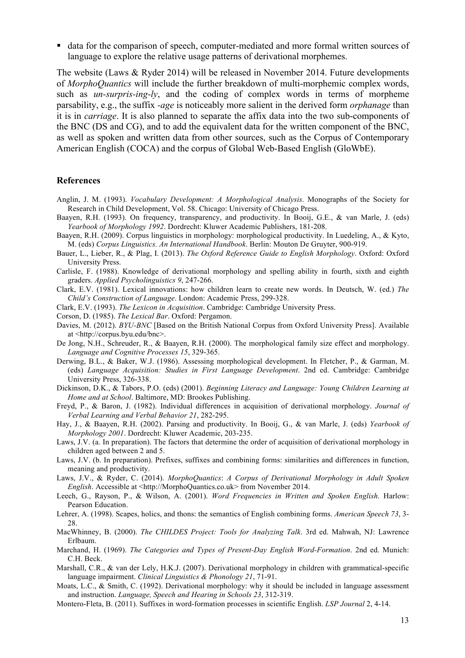■ data for the comparison of speech, computer-mediated and more formal written sources of language to explore the relative usage patterns of derivational morphemes.

The website (Laws & Ryder 2014) will be released in November 2014. Future developments of *MorphoQuantics* will include the further breakdown of multi-morphemic complex words, such as *un-surpris-ing-ly*, and the coding of complex words in terms of morpheme parsability, e.g., the suffix *-age* is noticeably more salient in the derived form *orphanage* than it is in *carriage*. It is also planned to separate the affix data into the two sub-components of the BNC (DS and CG), and to add the equivalent data for the written component of the BNC, as well as spoken and written data from other sources, such as the Corpus of Contemporary American English (COCA) and the corpus of Global Web-Based English (GloWbE).

#### **References**

- Anglin, J. M. (1993). *Vocabulary Development: A Morphological Analysis*. Monographs of the Society for Research in Child Development, Vol. 58. Chicago: University of Chicago Press.
- Baayen, R.H. (1993). On frequency, transparency, and productivity. In Booij, G.E., & van Marle, J. (eds) *Yearbook of Morphology 1992*. Dordrecht: Kluwer Academic Publishers, 181-208.
- Baayen, R.H. (2009). Corpus linguistics in morphology: morphological productivity. In Luedeling, A., & Kyto, M. (eds) *Corpus Linguistics. An International Handbook*. Berlin: Mouton De Gruyter, 900-919.
- Bauer, L., Lieber, R., & Plag, I. (2013). *The Oxford Reference Guide to English Morphology*. Oxford: Oxford University Press.
- Carlisle, F. (1988). Knowledge of derivational morphology and spelling ability in fourth, sixth and eighth graders. *Applied Psycholinguistics 9*, 247-266.
- Clark, E.V. (1981). Lexical innovations: how children learn to create new words. In Deutsch, W. (ed.) *The Child's Construction of Language*. London: Academic Press, 299-328.
- Clark, E.V. (1993). *The Lexicon in Acquisition*. Cambridge: Cambridge University Press.
- Corson, D. (1985). *The Lexical Bar*. Oxford: Pergamon.
- Davies, M. (2012). *BYU-BNC* [Based on the British National Corpus from Oxford University Press]. Available at <http://corpus.byu.edu/bnc>.
- De Jong, N.H., Schreuder, R., & Baayen, R.H. (2000). The morphological family size effect and morphology. *Language and Cognitive Processes 15*, 329-365.
- Derwing, B.L., & Baker, W.J. (1986). Assessing morphological development. In Fletcher, P., & Garman, M. (eds) *Language Acquisition: Studies in First Language Development*. 2nd ed. Cambridge: Cambridge University Press, 326-338.
- Dickinson, D.K., & Tabors, P.O. (eds) (2001). *Beginning Literacy and Language: Young Children Learning at Home and at School*. Baltimore, MD: Brookes Publishing.
- Freyd, P., & Baron, J. (1982). Individual differences in acquisition of derivational morphology. *Journal of Verbal Learning and Verbal Behavior 21*, 282-295.
- Hay, J., & Baayen, R.H. (2002). Parsing and productivity. In Booij, G., & van Marle, J. (eds) *Yearbook of Morphology 2001*. Dordrecht: Kluwer Academic, 203-235.
- Laws, J.V. (a. In preparation). The factors that determine the order of acquisition of derivational morphology in children aged between 2 and 5.
- Laws, J.V. (b. In preparation). Prefixes, suffixes and combining forms: similarities and differences in function, meaning and productivity.
- Laws, J.V., & Ryder, C. (2014). *MorphoQuantics*: *A Corpus of Derivational Morphology in Adult Spoken English*. Accessible at <http://MorphoQuantics.co.uk> from November 2014.
- Leech, G., Rayson, P., & Wilson, A. (2001). *Word Frequencies in Written and Spoken English*. Harlow: Pearson Education.
- Lehrer, A. (1998). Scapes, holics, and thons: the semantics of English combining forms. *American Speech 73*, 3- 28.
- MacWhinney, B. (2000). *The CHILDES Project: Tools for Analyzing Talk*. 3rd ed. Mahwah, NJ: Lawrence Erlbaum.
- Marchand, H. (1969). *The Categories and Types of Present-Day English Word-Formation*. 2nd ed. Munich: C.H. Beck.
- Marshall, C.R., & van der Lely, H.K.J. (2007). Derivational morphology in children with grammatical-specific language impairment. *Clinical Linguistics & Phonology 21*, 71-91.
- Moats, L.C., & Smith, C. (1992). Derivational morphology: why it should be included in language assessment and instruction. *Language, Speech and Hearing in Schools 23*, 312-319.
- Montero-Fleta, B. (2011). Suffixes in word-formation processes in scientific English. *LSP Journal* 2, 4-14.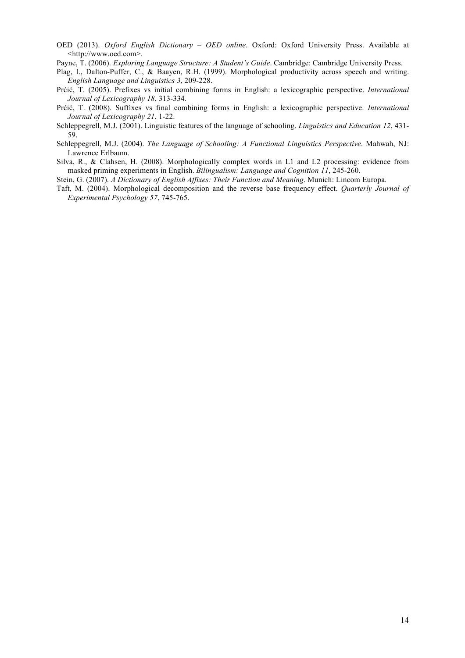- OED (2013). *Oxford English Dictionary – OED online*. Oxford: Oxford University Press. Available at <http://www.oed.com>.
- Payne, T. (2006). *Exploring Language Structure: A Student's Guide*. Cambridge: Cambridge University Press.
- Plag, I., Dalton-Puffer, C., & Baayen, R.H. (1999). Morphological productivity across speech and writing. *English Language and Linguistics 3*, 209-228.
- Prćić, T. (2005). Prefixes vs initial combining forms in English: a lexicographic perspective. *International Journal of Lexicography 18*, 313-334.
- Prćić, T. (2008). Suffixes vs final combining forms in English: a lexicographic perspective. *International Journal of Lexicography 21*, 1-22.
- Schleppegrell, M.J. (2001). Linguistic features of the language of schooling. *Linguistics and Education 12*, 431- 59.
- Schleppegrell, M.J. (2004). *The Language of Schooling: A Functional Linguistics Perspective*. Mahwah, NJ: Lawrence Erlbaum.
- Silva, R., & Clahsen, H. (2008). Morphologically complex words in L1 and L2 processing: evidence from masked priming experiments in English. *Bilingualism: Language and Cognition 11*, 245-260.
- Stein, G. (2007). *A Dictionary of English Affixes: Their Function and Meaning*. Munich: Lincom Europa.
- Taft, M. (2004). Morphological decomposition and the reverse base frequency effect. *Quarterly Journal of Experimental Psychology 57*, 745-765.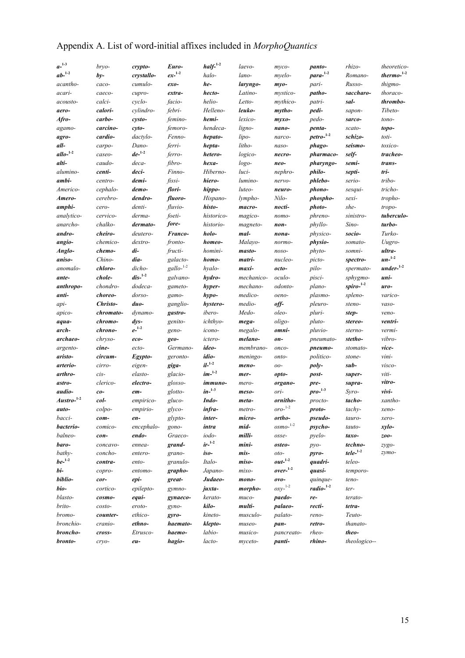|  |  |  |  |  |  | Appendix A. List of word-initial affixes included in MorphoQuantics |
|--|--|--|--|--|--|---------------------------------------------------------------------|
|--|--|--|--|--|--|---------------------------------------------------------------------|

| $a^{-1-3}$       | bryo-     | crypto-                      | Euro-              | $half^{-1-2}$        | laevo-     | myco-                        | panto-            | rhizo-       | theoretico-   |
|------------------|-----------|------------------------------|--------------------|----------------------|------------|------------------------------|-------------------|--------------|---------------|
| $ab^{-1-2}$      | $by-$     | crystallo-                   | $ex^{-1-2}$        | halo-                | lano-      | myelo-                       | $para1-2$         | Romano-      | thermo- $1-2$ |
| acantho-         | caco-     | cumulo-                      | $exo-$             | he-                  | laryngo-   | $myo-$                       | pari-             | Russo-       | thigmo-       |
| acari-           | caeco-    | cupro-                       | extra-             | hecto-               | Latino-    | mystico-                     | patho-            | saccharo-    | thoraco-      |
| acousto-         | calci-    | cyclo-                       | facio-             | helio-               | Letto-     | mythico-                     | patri-            | sal-         | thrombo-      |
| aero-            | calori-   | cylindro-                    | febri-             | Helleno-             | leuko-     | mytho-                       | pedi-             | sapon-       | Tibeto-       |
| Afro-            | carbo-    | cysto-                       | femino-            | hemi-                | lexico-    | $myxo-$                      | pedo-             | sarco-       | tono-         |
| agamo-           | carcino-  | cyto-                        | femoro-            | hendeca-             | ligno-     | nano-                        | penta-            | scato-       | topo-         |
| agro-            | cardio-   | dactylo-                     | Fenno-             | hepato-              | lipo-      | narco-                       | $petro-1-2$       | schizo-      | toti-         |
| all-             | carpo-    | Dano-                        | ferri-             | hepta-               | litho-     | naso-                        | phago-            | seismo-      | toxico-       |
| $allo^{-1-2}$    | caseo-    | $de^{-1-2}$                  | ferro-             | hetero-              | logico-    | necro-                       | pharmaco-         | self-        | tracheo-      |
| alti-            | caudo-    | deca-                        | fibro-             | hexa-                | logo-      | neo-                         | pharyngo-         | semi-        | trans-        |
| alumino-         | centi-    | deci-                        | Finno-             | Hiberno-             | luci-      | nephro-                      | philo-            | septi-       | tri-          |
| ambi-            | centro-   | demi-                        | $\mathit{fissi}$ - | hiero-               | lumino-    | nervo-                       | phlebo-           | serio-       | tribo-        |
| Americo-         | cephalo-  | demo-                        | flori-             | hippo-               | luteo-     | neuro-                       | phono-            | sesqui-      | tricho-       |
| Amero-           | cerebro-  | dendro-                      | fluoro-            | Hispano-             | lympho-    | Nilo-                        | phospho-          | sexi-        | tropho-       |
| amphi-           | cero-     | denti-                       | fluvio-            | histo-               | macro-     | nocti-                       | photo-            | she-         | tropo-        |
| analytico-       | cervico-  | derma-                       | foeti-             | historico-           | magico-    | nomo-                        | phreno-           | sinistro-    | tuberculo-    |
| anarcho-         | chalko-   | dermato-                     | fore-              | historio-            | magneto-   | non-                         | phyllo-           | Sino-        | turbo-        |
| andro-           | cheiro-   | deutero-                     | Franco-            | holo-                | mal-       | nona-                        | <i>physico-</i>   | socio-       | Turko-        |
| angio-           | chemico-  | dextro-                      | fronto-            | homeo-               | Malayo-    | normo-                       | physio-           | somato-      | Uugro-        |
| Anglo-           | chemo-    | di-                          | fructi-            | homini-              | masto-     | noso-                        | phyto-            | somni-       | ultra-        |
| aniso-           | Chino-    | dia-                         | galacto-           | homo-                | matri-     | nucleo-                      | picto-            | spectro-     | $un^{-1-2}$   |
| anomalo-         | chloro-   | dicho-                       | $gallo-1-2}$       | hyalo-               | maxi-      | octo-                        | pilo-             | spermato-    | $under-1-2$   |
| ante-            | chole-    | $dis-1-2$                    | galvano-           | hydro-               | mechanico- | oculo-                       | pisci-            | sphygmo-     | uni-          |
| anthropo-        | chondro-  | dodeca-                      | gameto-            | hyper-               | mechano-   | odonto-                      | plano-            | $spiro-1-2$  | uro-          |
| anti-            | choreo-   | dorso-                       |                    |                      | medico-    | oeno-                        | plasmo-           |              | varico-       |
|                  | Christo-  | duo-                         | gamo-              | hypo-                | medio-     | off-                         |                   | spleno-      |               |
| api-             |           | dynamo-                      | ganglio-           | hystero-<br>ibero-   | Medo-      | oleo-                        | pleuro-<br>pluri- | steno-       | vaso-         |
| apico-           | chromato- |                              | gastro-            |                      |            |                              |                   | step-        | veno-         |
| aqua-            | chromo-   | $\frac{dy}{s}$<br>$e^{-1-2}$ | genito-            | ichthyo-             | mega-      | oligo-                       | pluto-            | stereo-      | ventri-       |
| arch-            | chrono-   |                              | geno-              | icono-               | megalo-    | omni-                        | pluvio-           | sterno-      | vermi-        |
| archaeo-         | chryso-   | eco-                         | geo-               | ictero-              | melano-    | on-                          | pneumato-         | stetho-      | vibro-        |
| argento-         | cine-     | ecto-                        | Germano-           | ideo-                | membrano-  | onco-                        | pneumo-           | stomato-     | vice-         |
| aristo-          | circum-   | Egypto-                      | geronto-           | idio-<br>$il^{-1-2}$ | meningo-   | onto-                        | <i>politico-</i>  | stone-       | vini-         |
| arterio-         | cirro-    | eigen-                       | giga-              |                      | meno-      | $00-$                        | poly-             | sub-         | visco-        |
| arthro-          | cis-      | elasto-                      | glacio-            | $im-1-2$             | mer-       | opto-                        | post-             | super-       | viti-         |
| astro-           | clerico-  | electro-                     | glosso-            | immuno-              | mero-      | organo-                      | pre-              | supra-       | vitro-        |
| audio-           | $co-$     | em-                          | glotto-            | $in^{-1-3}$          | meso-      | ori-                         | $pro^{-1-3}$      | Syro-        | $\nu ivi$ -   |
| $A$ ustro- $1-2$ | col-      | empirico-                    | gluco-             | Indo-                | meta-      | ornitho-                     | procto-           | tacho-       | xantho-       |
| auto-            | colpo-    | empirio-                     | glyco-             | infra-               | metro-     | $oro-$ <sup>1-2</sup>        | proto-            | $tachy-$     | xeno-         |
| bacci-           | com-      | en-                          | glypto-            | inter-               | micro-     | ortho-                       | <i>pseudo-</i>    | tauro-       | xero-         |
| bacterio-        | comico-   | encephalo-                   | gono-              | intra                | mid-       | $osmo^{-1\text{-}2}$         | psycho-           | tauto-       | xylo-         |
| balneo-          | con-      | endo-                        | Graeco-            | iodo-                | milli-     | osse-                        | pyelo-            | taxo-        | zoo-          |
| baro-            | concavo-  | ennea-                       | grand-             | $ir^{-1-2}$          | mini-      | osteo-                       | $pyo-$            | techno-      | zygo-         |
| bathy-           | concho-   | entero-                      | grano-             | iso-                 | mis-       | oto-                         | pyro-             | $tele1-2$    | zymo-         |
| $be^{-1-2}$      | contra-   | ento-                        | granulo-           | Italo-               | miso-      | $\mathit{out}^{-1\text{-}2}$ | quadri-           | teleo-       |               |
| bi-              | copro-    | entomo-                      | grapho-            | Japano-              | mixo-      | $over-1-2$                   | quasi-            | temporo-     |               |
| biblio-          | cor-      | epi-                         | great-             | Judaeo-              | mono-      | $ovo-$                       | quinque-          | teno-        |               |
| bio-             | cortico-  | epilepto-                    | gymno-             | juxta-               | morpho-    | $0xy^{-1-2}$                 | $radio1-2$        | ter-         |               |
| blasto-          | cosmo-    | equi-                        | gynaeco-           | kerato-              | muco-      | paedo-                       | re-               | terato-      |               |
| brito-           | costo-    | eroto-                       | gyno-              | kilo-                | multi-     | palaeo-                      | recti-            | tetra-       |               |
| bromo-           | counter-  | ethico-                      | gyro-              | kineto-              | musculo-   | palato-                      | reno-             | Teuto-       |               |
| bronchio-        | cranio-   | ethno-                       | haemato-           | klepto-              | museo-     | pan-                         | retro-            | thanato-     |               |
| broncho-         | cross-    | Etrusco-                     | haemo-             | labio-               | musico-    | pancreato-                   | rheo-             | theo-        |               |
| bronto-          | cryo-     | eu-                          | hagio-             | lacto-               | myceto-    | panti-                       | rhino-            | theologico-- |               |
|                  |           |                              |                    |                      |            |                              |                   |              |               |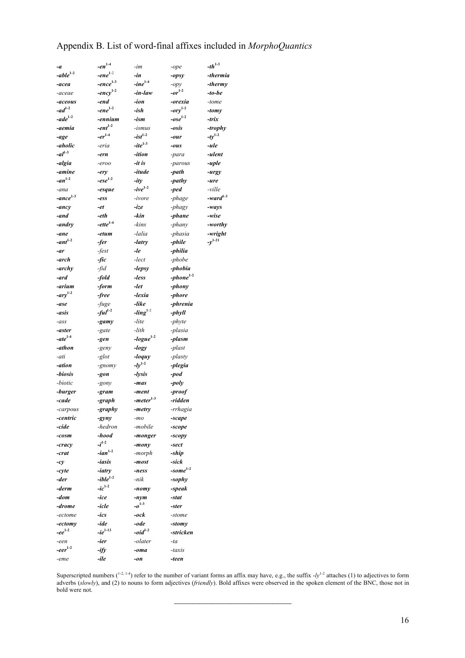# Appendix B. List of word-final affixes included in *MorphoQuantics*

| -a                    | $-en^{1.4}$   | -im              | -ope                | $-th$ <sup>1-3</sup> |
|-----------------------|---------------|------------------|---------------------|----------------------|
| $-able1-2$            | $-ene^{1-2}$  | -in              | -opsy               | -thermia             |
| -acea                 | $-ence1-3$    | $-line^{1.4}$    | -opy                | -thermy              |
| -aceae                | $-ency1-2$    | -in-law          | $- or^{1-2}$        | $-to-be$             |
| -aceous               | -end          | -ion             | -orexia             | -tome                |
| $-ad^{1-2}$           | $-ene^{1-2}$  | $-ish$           | $-ory1-2$           | -tomy                |
| $\textit{-}ade^{1-2}$ | -ennium       | -ism             | $-ose^{1-2}$        | -trix                |
| -aemia                | $-ent^{1-2}$  | -ismus           | -osis               | -trophy              |
| -age                  | $-er^{1-4}$   | $-ist^{1-2}$     | -our                | $-ty^{1-2}$          |
| -aholic               | -eria         | $-ite^{1-3}$     | -ous                | -ule                 |
| $-al^{1-3}$           | -ern          | -ition           | -para               | -ulent               |
| -algia                | -eroo         | -it is           | -parous             | -uple                |
| -amine                | -ery          | -itude           | -path               | -urgy                |
| $-an^{1-2}$           | $-ese^{1-2}$  | $-ity$           | -pathy              | -ure                 |
| -ana                  | -esque        | $-ive^{1-2}$     | $-ped$              | -ville               |
| $-ance1-3$            | -ess          | -ivore           | -phage              | $-ward^{1-3}$        |
| -ancy                 | -et           | -ize             | -phagy              | -ways                |
| -and                  | -eth          | -kin             | $-plane$            | -wise                |
| -andry                | $-ette^{1.4}$ | -kins            | -phany              | -worthy              |
| -ane                  | -etum         | -lalia           | -phasia             | -wright              |
| $-ant^{1-2}$          | -fer          | -latry           | -phile              | $-y^{1-21}$          |
| -ar                   | $-fest$       | -le              | -philia             |                      |
|                       |               |                  | -phobe              |                      |
| -arch<br>-archy       | -fic          | -lect            | -phobia             |                      |
|                       | -fid $\,$     | $-lepsy$         |                     |                      |
| -ard                  | $-fold$       | -less            | $-phone^{1-2}$      |                      |
| -arium                | -form         | -let             | -phony              |                      |
| $-ary1-2$             | -free         | -lexia           | -phore              |                      |
| -ase                  | $-fuge$       | -like            | -phrenia            |                      |
| -asis                 | ful $^{1-2}$  | - $ling1-2$      | -phyll              |                      |
| $-ass$                | -gamy         | -lite            | -phyte              |                      |
| -aster                | -gate         | -lith            | -plasia             |                      |
| $-ate^{1-4}$          | -gen          | $-logue^{1-2}$   | -plasm              |                      |
| -athon                | -geny         | -logy            | -plast              |                      |
| -ati                  | -glot         | $-$ <i>loquy</i> | -plasty             |                      |
| -ation                | -gnomy        | $-1y^{1-2}$      | -plegia             |                      |
| -biosis               | -gon          | -lysis           | $-pod$              |                      |
| -biotic               | -gony         | -mas             | -poly               |                      |
| -burger               | -gram         | -ment            | -proof              |                      |
| -cade                 | -graph        | -meter $^{1-3}$  | -ridden             |                      |
| -carpous              | -graphy       | -metry           | -rrhagia            |                      |
| -centric              | $-gyny$       | $-mo$            | -scape              |                      |
| -cide                 | -hedron       | -mobile          | -scope              |                      |
| $-cosm$               | -hood         | -monger          | -scopy              |                      |
| -cracy                | $-i^{1-2}$    | -mony            | -sect               |                      |
| -crat                 | $-ian^{1-2}$  | -morph           | -ship               |                      |
| $-cy$                 | -iasis        | -most            | -sick               |                      |
| -cyte                 | -iatry        | -ness            | -some $^{1-2}$      |                      |
| -der                  | $-ible^{1-2}$ | -nik             | -sophy              |                      |
| -derm                 | $-ic^{1-2}$   | -nomy            | $-speak$            |                      |
| -dom                  | -ice          | -nym             | -stat               |                      |
| -drome                | -icle         | $-0^{1-3}$       | -ster               |                      |
| -ectome               | -ics          | -ock             | -stome              |                      |
| -ectomy               | -ide          | -ode             |                     |                      |
| $-ee^{1-2}$           | $-ie^{1-13}$  | $-oid^{1-2}$     | -stomy<br>-stricken |                      |
|                       |               |                  |                     |                      |
| -een                  | -ier          | -olater          | -ta                 |                      |
| $-eer^{1-2}$          | -ify          | -oma             | -taxis              |                      |
| $-eme$                | -ile          | -on              | -teen               |                      |

Superscripted numbers ( $1-2$ ,  $1-4$ ) refer to the number of variant forms an affix may have, e.g., the suffix  $-ly^{1-2}$  attaches (1) to adjectives to form adverbs (*slowly*), and (2) to nouns to form adjectives (*friendly*). Bold affixes were observed in the spoken element of the BNC, those not in bold were not.

\_\_\_\_\_\_\_\_\_\_\_\_\_\_\_\_\_\_\_\_\_\_\_\_\_